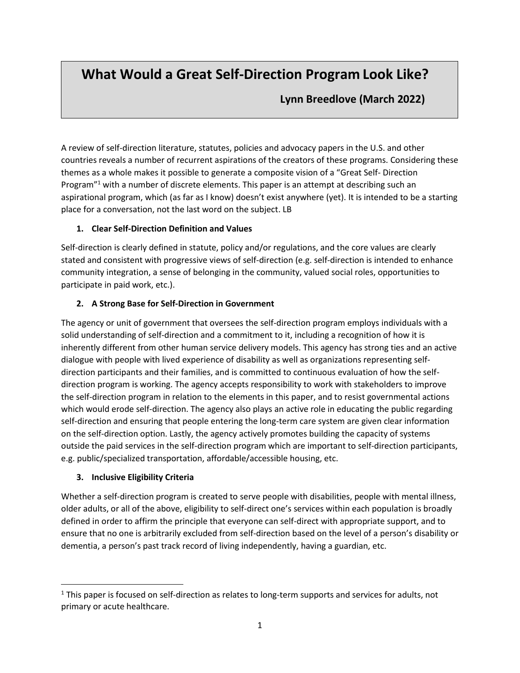# **What Would a Great Self-Direction Program Look Like?**

 **Lynn Breedlove (March 2022)**

A review of self-direction literature, statutes, policies and advocacy papers in the U.S. and other countries reveals a number of recurrent aspirations of the creators of these programs. Considering these themes as a whole makes it possible to generate a composite vision of a "Great Self- Direction Program<sup>"1</sup> with a number of discrete elements. This paper is an attempt at describing such an aspirational program, which (as far as I know) doesn't exist anywhere (yet). It is intended to be a starting place for a conversation, not the last word on the subject. LB

#### **1. Clear Self-Direction Definition and Values**

Self-direction is clearly defined in statute, policy and/or regulations, and the core values are clearly stated and consistent with progressive views of self-direction (e.g. self-direction is intended to enhance community integration, a sense of belonging in the community, valued social roles, opportunities to participate in paid work, etc.).

## **2. A Strong Base for Self-Direction in Government**

The agency or unit of government that oversees the self-direction program employs individuals with a solid understanding of self-direction and a commitment to it, including a recognition of how it is inherently different from other human service delivery models. This agency has strong ties and an active dialogue with people with lived experience of disability as well as organizations representing selfdirection participants and their families, and is committed to continuous evaluation of how the selfdirection program is working. The agency accepts responsibility to work with stakeholders to improve the self-direction program in relation to the elements in this paper, and to resist governmental actions which would erode self-direction. The agency also plays an active role in educating the public regarding self-direction and ensuring that people entering the long-term care system are given clear information on the self-direction option. Lastly, the agency actively promotes building the capacity of systems outside the paid services in the self-direction program which are important to self-direction participants, e.g. public/specialized transportation, affordable/accessible housing, etc.

#### **3. Inclusive Eligibility Criteria**

Whether a self-direction program is created to serve people with disabilities, people with mental illness, older adults, or all of the above, eligibility to self-direct one's services within each population is broadly defined in order to affirm the principle that everyone can self-direct with appropriate support, and to ensure that no one is arbitrarily excluded from self-direction based on the level of a person's disability or dementia, a person's past track record of living independently, having a guardian, etc.

<sup>&</sup>lt;sup>1</sup> This paper is focused on self-direction as relates to long-term supports and services for adults, not primary or acute healthcare.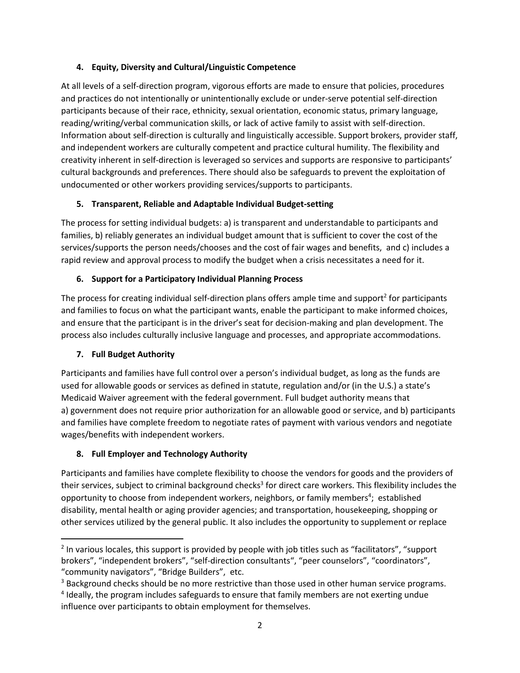#### **4. Equity, Diversity and Cultural/Linguistic Competence**

At all levels of a self-direction program, vigorous efforts are made to ensure that policies, procedures and practices do not intentionally or unintentionally exclude or under-serve potential self-direction participants because of their race, ethnicity, sexual orientation, economic status, primary language, reading/writing/verbal communication skills, or lack of active family to assist with self-direction. Information about self-direction is culturally and linguistically accessible. Support brokers, provider staff, and independent workers are culturally competent and practice cultural humility. The flexibility and creativity inherent in self-direction is leveraged so services and supports are responsive to participants' cultural backgrounds and preferences. There should also be safeguards to prevent the exploitation of undocumented or other workers providing services/supports to participants.

### **5. Transparent, Reliable and Adaptable Individual Budget-setting**

The process for setting individual budgets: a) is transparent and understandable to participants and families, b) reliably generates an individual budget amount that is sufficient to cover the cost of the services/supports the person needs/chooses and the cost of fair wages and benefits, and c) includes a rapid review and approval process to modify the budget when a crisis necessitates a need for it.

### **6. Support for a Participatory Individual Planning Process**

The process for creating individual self-direction plans offers ample time and support<sup>2</sup> for participants and families to focus on what the participant wants, enable the participant to make informed choices, and ensure that the participant is in the driver's seat for decision-making and plan development. The process also includes culturally inclusive language and processes, and appropriate accommodations.

## **7. Full Budget Authority**

Participants and families have full control over a person's individual budget, as long as the funds are used for allowable goods or services as defined in statute, regulation and/or (in the U.S.) a state's Medicaid Waiver agreement with the federal government. Full budget authority means that a) government does not require prior authorization for an allowable good or service, and b) participants and families have complete freedom to negotiate rates of payment with various vendors and negotiate wages/benefits with independent workers.

## **8. Full Employer and Technology Authority**

Participants and families have complete flexibility to choose the vendors for goods and the providers of their services, subject to criminal background checks<sup>3</sup> for direct care workers. This flexibility includes the opportunity to choose from independent workers, neighbors, or family members<sup>4</sup>; established disability, mental health or aging provider agencies; and transportation, housekeeping, shopping or other services utilized by the general public. It also includes the opportunity to supplement or replace

<sup>&</sup>lt;sup>2</sup> In various locales, this support is provided by people with job titles such as "facilitators", "support brokers", "independent brokers", "self-direction consultants", "peer counselors", "coordinators", "community navigators", "Bridge Builders", etc.

<sup>&</sup>lt;sup>3</sup> Background checks should be no more restrictive than those used in other human service programs.

<sup>&</sup>lt;sup>4</sup> Ideally, the program includes safeguards to ensure that family members are not exerting undue influence over participants to obtain employment for themselves.